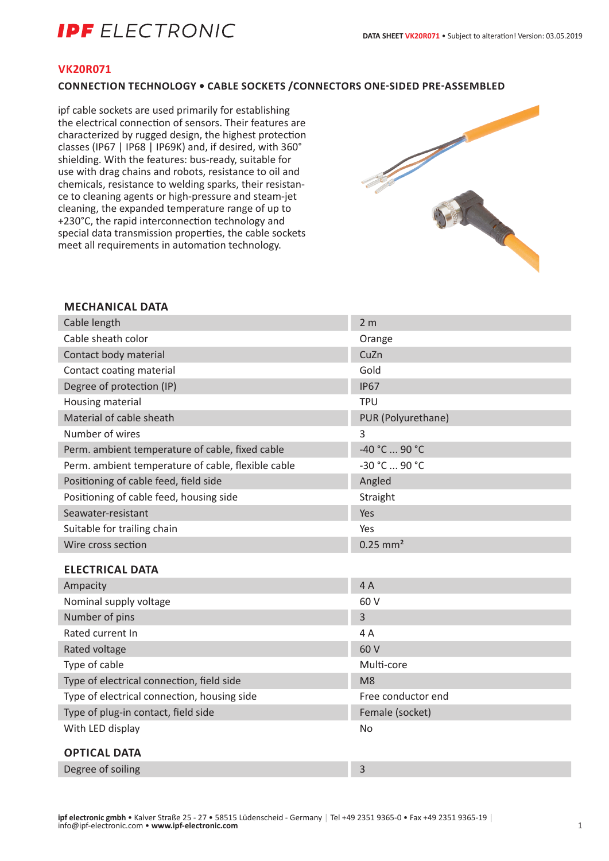# **IPF** ELECTRONIC

#### **VK20R071**

## **CONNECTION TECHNOLOGY • CABLE SOCKETS /CONNECTORS ONE-SIDED PRE-ASSEMBLED**

ipf cable sockets are used primarily for establishing the electrical connection of sensors. Their features are characterized by rugged design, the highest protection classes (IP67 | IP68 | IP69K) and, if desired, with 360° shielding. With the features: bus-ready, suitable for use with drag chains and robots, resistance to oil and chemicals, resistance to welding sparks, their resistance to cleaning agents or high-pressure and steam-jet cleaning, the expanded temperature range of up to +230°C, the rapid interconnection technology and special data transmission properties, the cable sockets meet all requirements in automation technology.



#### **MECHANICAL DATA**

| Cable length                                       | 2 <sub>m</sub>         |
|----------------------------------------------------|------------------------|
| Cable sheath color                                 | Orange                 |
| Contact body material                              | CuZn                   |
| Contact coating material                           | Gold                   |
| Degree of protection (IP)                          | <b>IP67</b>            |
| Housing material                                   | <b>TPU</b>             |
| Material of cable sheath                           | PUR (Polyurethane)     |
| Number of wires                                    | 3                      |
| Perm. ambient temperature of cable, fixed cable    | -40 °C  90 °C          |
| Perm. ambient temperature of cable, flexible cable | -30 °C  90 °C          |
| Positioning of cable feed, field side              | Angled                 |
| Positioning of cable feed, housing side            | Straight               |
| Seawater-resistant                                 | Yes                    |
| Suitable for trailing chain                        | Yes                    |
| Wire cross section                                 | $0.25$ mm <sup>2</sup> |
| <b>ELECTRICAL DATA</b>                             |                        |
| Ampacity                                           | 4A                     |
| Nominal supply voltage                             | 60 V                   |
| Number of pins                                     | 3                      |
| Rated current In                                   | 4 A                    |
| Rated voltage                                      | 60 V                   |
| Type of cable                                      | Multi-core             |
| Type of electrical connection, field side          | M <sub>8</sub>         |
| Type of electrical connection, housing side        | Free conductor end     |
| Type of plug-in contact, field side                | Female (socket)        |
| With LED display                                   | <b>No</b>              |
| <b>OPTICAL DATA</b>                                |                        |

Degree of soiling 3